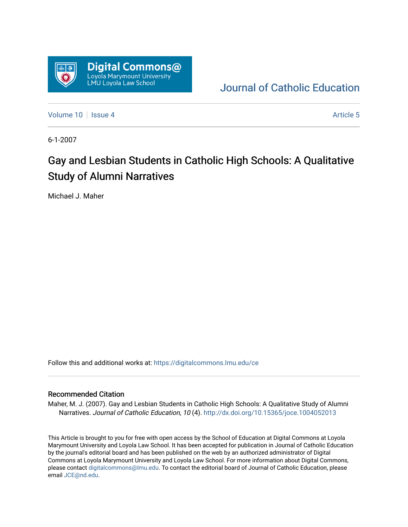

[Journal of Catholic Education](https://digitalcommons.lmu.edu/ce) 

[Volume 10](https://digitalcommons.lmu.edu/ce/vol10) | [Issue 4](https://digitalcommons.lmu.edu/ce/vol10/iss4) Article 5

6-1-2007

# Gay and Lesbian Students in Catholic High Schools: A Qualitative Study of Alumni Narratives

Michael J. Maher

Follow this and additional works at: [https://digitalcommons.lmu.edu/ce](https://digitalcommons.lmu.edu/ce?utm_source=digitalcommons.lmu.edu%2Fce%2Fvol10%2Fiss4%2F5&utm_medium=PDF&utm_campaign=PDFCoverPages)

#### Recommended Citation

Maher, M. J. (2007). Gay and Lesbian Students in Catholic High Schools: A Qualitative Study of Alumni Narratives. Journal of Catholic Education, 10 (4). http://dx.doi.org/10.15365/joce.1004052013

This Article is brought to you for free with open access by the School of Education at Digital Commons at Loyola Marymount University and Loyola Law School. It has been accepted for publication in Journal of Catholic Education by the journal's editorial board and has been published on the web by an authorized administrator of Digital Commons at Loyola Marymount University and Loyola Law School. For more information about Digital Commons, please contact [digitalcommons@lmu.edu](mailto:digitalcommons@lmu.edu). To contact the editorial board of Journal of Catholic Education, please email [JCE@nd.edu](mailto:JCE@nd.edu).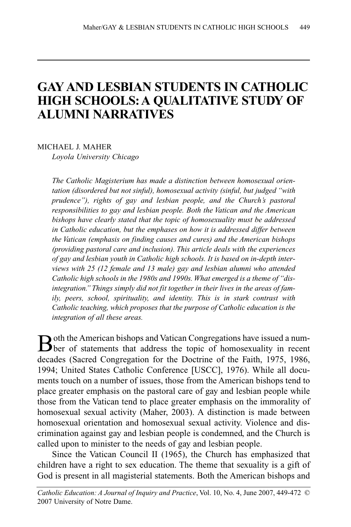## **GAY AND LESBIAN STUDENTS IN CATHOLIC HIGH SCHOOLS:A QUALITATIVE STUDY OF ALUMNI NARRATIVES**

MICHAEL J. MAHER

*Loyola University Chicago*

*The Catholic Magisterium has made a distinction between homosexual orientation (disordered but not sinful), homosexual activity (sinful, but judged "with prudence"), rights of gay and lesbian people, and the Church's pastoral responsibilities to gay and lesbian people. Both the Vatican and the American bishops have clearly stated that the topic of homosexuality must be addressed in Catholic education, but the emphases on how it is addressed differ between the Vatican (emphasis on finding causes and cures) and the American bishops (providing pastoral care and inclusion). This article deals with the experiences of gay and lesbian youth in Catholic high schools. It is based on in-depth interviews with 25 (12 female and 13 male) gay and lesbian alumni who attended Catholic high schools in the 1980s and 1990s. What emerged is a theme of "disintegration." Things simply did not fit together in their lives in the areas of family, peers, school, spirituality, and identity. This is in stark contrast with Catholic teaching, which proposes that the purpose of Catholic education is the integration of all these areas.*

Both the American bishops and Vatican Congregations have issued a num-<br>ber of statements that address the topic of homosexuality in recent decades (Sacred Congregation for the Doctrine of the Faith, 1975, 1986, 1994; United States Catholic Conference [USCC], 1976). While all documents touch on a number of issues, those from the American bishops tend to place greater emphasis on the pastoral care of gay and lesbian people while those from the Vatican tend to place greater emphasis on the immorality of homosexual sexual activity (Maher, 2003). A distinction is made between homosexual orientation and homosexual sexual activity. Violence and discrimination against gay and lesbian people is condemned, and the Church is called upon to minister to the needs of gay and lesbian people.

Since the Vatican Council II (1965), the Church has emphasized that children have a right to sex education. The theme that sexuality is a gift of God is present in all magisterial statements. Both the American bishops and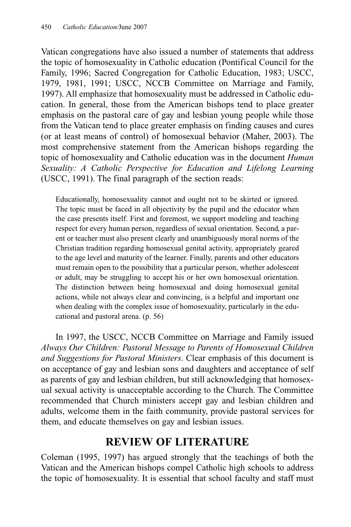Vatican congregations have also issued a number of statements that address the topic of homosexuality in Catholic education (Pontifical Council for the Family, 1996; Sacred Congregation for Catholic Education, 1983; USCC, 1979, 1981, 1991; USCC, NCCB Committee on Marriage and Family, 1997). All emphasize that homosexuality must be addressed in Catholic education. In general, those from the American bishops tend to place greater emphasis on the pastoral care of gay and lesbian young people while those from the Vatican tend to place greater emphasis on finding causes and cures (or at least means of control) of homosexual behavior (Maher, 2003). The most comprehensive statement from the American bishops regarding the topic of homosexuality and Catholic education was in the document *Human Sexuality: A Catholic Perspective for Education and Lifelong Learning* (USCC, 1991). The final paragraph of the section reads:

Educationally, homosexuality cannot and ought not to be skirted or ignored. The topic must be faced in all objectivity by the pupil and the educator when the case presents itself. First and foremost, we support modeling and teaching respect for every human person, regardless of sexual orientation. Second, a parent or teacher must also present clearly and unambiguously moral norms of the Christian tradition regarding homosexual genital activity, appropriately geared to the age level and maturity of the learner. Finally, parents and other educators must remain open to the possibility that a particular person, whether adolescent or adult, may be struggling to accept his or her own homosexual orientation. The distinction between being homosexual and doing homosexual genital actions, while not always clear and convincing, is a helpful and important one when dealing with the complex issue of homosexuality, particularly in the educational and pastoral arena. (p. 56)

In 1997, the USCC, NCCB Committee on Marriage and Family issued *Always Our Children: Pastoral Message to Parents of Homosexual Children and Suggestions for Pastoral Ministers*. Clear emphasis of this document is on acceptance of gay and lesbian sons and daughters and acceptance of self as parents of gay and lesbian children, but still acknowledging that homosexual sexual activity is unacceptable according to the Church. The Committee recommended that Church ministers accept gay and lesbian children and adults, welcome them in the faith community, provide pastoral services for them, and educate themselves on gay and lesbian issues.

## **REVIEW OF LITERATURE**

Coleman (1995, 1997) has argued strongly that the teachings of both the Vatican and the American bishops compel Catholic high schools to address the topic of homosexuality. It is essential that school faculty and staff must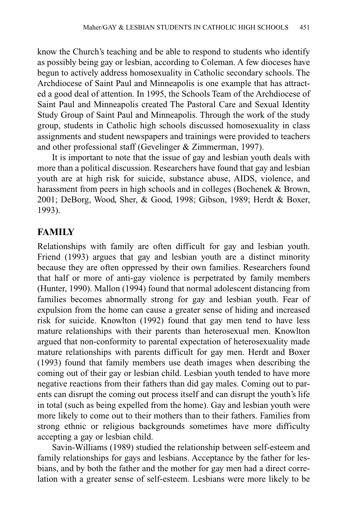know the Church's teaching and be able to respond to students who identify as possibly being gay or lesbian, according to Coleman. A few dioceses have begun to actively address homosexuality in Catholic secondary schools. The Archdiocese of Saint Paul and Minneapolis is one example that has attracted a good deal of attention. In 1995, the Schools Team of the Archdiocese of Saint Paul and Minneapolis created The Pastoral Care and Sexual Identity Study Group of Saint Paul and Minneapolis. Through the work of the study group, students in Catholic high schools discussed homosexuality in class assignments and student newspapers and trainings were provided to teachers and other professional staff (Gevelinger & Zimmerman, 1997).

It is important to note that the issue of gay and lesbian youth deals with more than a political discussion. Researchers have found that gay and lesbian youth are at high risk for suicide, substance abuse, AIDS, violence, and harassment from peers in high schools and in colleges (Bochenek & Brown, 2001; DeBorg, Wood, Sher, & Good, 1998; Gibson, 1989; Herdt & Boxer, 1993).

### **FAMILY**

Relationships with family are often difficult for gay and lesbian youth. Friend (1993) argues that gay and lesbian youth are a distinct minority because they are often oppressed by their own families. Researchers found that half or more of anti-gay violence is perpetrated by family members (Hunter, 1990). Mallon (1994) found that normal adolescent distancing from families becomes abnormally strong for gay and lesbian youth. Fear of expulsion from the home can cause a greater sense of hiding and increased risk for suicide. Knowlton (1992) found that gay men tend to have less mature relationships with their parents than heterosexual men. Knowlton argued that non-conformity to parental expectation of heterosexuality made mature relationships with parents difficult for gay men. Herdt and Boxer (1993) found that family members use death images when describing the coming out of their gay or lesbian child. Lesbian youth tended to have more negative reactions from their fathers than did gay males. Coming out to parents can disrupt the coming out process itself and can disrupt the youth's life in total (such as being expelled from the home). Gay and lesbian youth were more likely to come out to their mothers than to their fathers. Families from strong ethnic or religious backgrounds sometimes have more difficulty accepting a gay or lesbian child.

Savin-Williams (1989) studied the relationship between self-esteem and family relationships for gays and lesbians. Acceptance by the father for lesbians, and by both the father and the mother for gay men had a direct correlation with a greater sense of self-esteem. Lesbians were more likely to be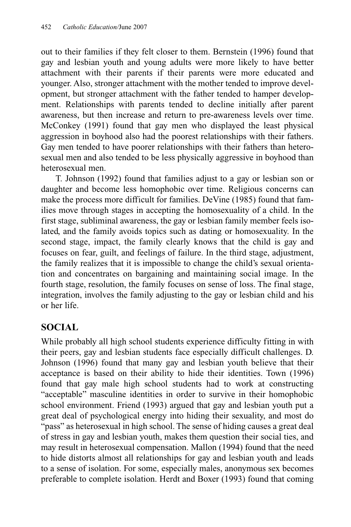out to their families if they felt closer to them. Bernstein (1996) found that gay and lesbian youth and young adults were more likely to have better attachment with their parents if their parents were more educated and younger. Also, stronger attachment with the mother tended to improve development, but stronger attachment with the father tended to hamper development. Relationships with parents tended to decline initially after parent awareness, but then increase and return to pre-awareness levels over time. McConkey (1991) found that gay men who displayed the least physical aggression in boyhood also had the poorest relationships with their fathers. Gay men tended to have poorer relationships with their fathers than heterosexual men and also tended to be less physically aggressive in boyhood than heterosexual men.

T. Johnson (1992) found that families adjust to a gay or lesbian son or daughter and become less homophobic over time. Religious concerns can make the process more difficult for families. DeVine (1985) found that families move through stages in accepting the homosexuality of a child. In the first stage, subliminal awareness, the gay or lesbian family member feels isolated, and the family avoids topics such as dating or homosexuality. In the second stage, impact, the family clearly knows that the child is gay and focuses on fear, guilt, and feelings of failure. In the third stage, adjustment, the family realizes that it is impossible to change the child's sexual orientation and concentrates on bargaining and maintaining social image. In the fourth stage, resolution, the family focuses on sense of loss. The final stage, integration, involves the family adjusting to the gay or lesbian child and his or her life.

### **SOCIAL**

While probably all high school students experience difficulty fitting in with their peers, gay and lesbian students face especially difficult challenges. D. Johnson (1996) found that many gay and lesbian youth believe that their acceptance is based on their ability to hide their identities. Town (1996) found that gay male high school students had to work at constructing "acceptable" masculine identities in order to survive in their homophobic school environment. Friend (1993) argued that gay and lesbian youth put a great deal of psychological energy into hiding their sexuality, and most do "pass" as heterosexual in high school. The sense of hiding causes a great deal of stress in gay and lesbian youth, makes them question their social ties, and may result in heterosexual compensation. Mallon (1994) found that the need to hide distorts almost all relationships for gay and lesbian youth and leads to a sense of isolation. For some, especially males, anonymous sex becomes preferable to complete isolation. Herdt and Boxer (1993) found that coming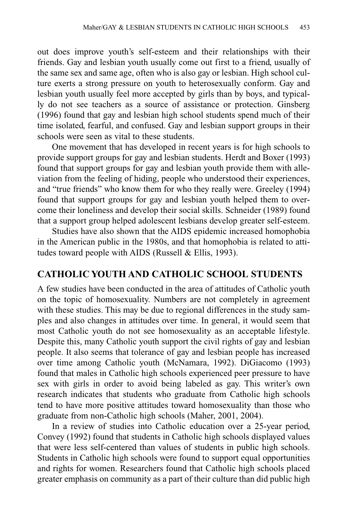out does improve youth's self-esteem and their relationships with their friends. Gay and lesbian youth usually come out first to a friend, usually of the same sex and same age, often who is also gay or lesbian. High school culture exerts a strong pressure on youth to heterosexually conform. Gay and lesbian youth usually feel more accepted by girls than by boys, and typically do not see teachers as a source of assistance or protection. Ginsberg (1996) found that gay and lesbian high school students spend much of their time isolated, fearful, and confused. Gay and lesbian support groups in their schools were seen as vital to these students.

One movement that has developed in recent years is for high schools to provide support groups for gay and lesbian students. Herdt and Boxer (1993) found that support groups for gay and lesbian youth provide them with alleviation from the feeling of hiding, people who understood their experiences, and "true friends" who know them for who they really were. Greeley (1994) found that support groups for gay and lesbian youth helped them to overcome their loneliness and develop their social skills. Schneider (1989) found that a support group helped adolescent lesbians develop greater self-esteem.

Studies have also shown that the AIDS epidemic increased homophobia in the American public in the 1980s, and that homophobia is related to attitudes toward people with AIDS (Russell & Ellis, 1993).

#### **CATHOLIC YOUTH AND CATHOLIC SCHOOL STUDENTS**

A few studies have been conducted in the area of attitudes of Catholic youth on the topic of homosexuality. Numbers are not completely in agreement with these studies. This may be due to regional differences in the study samples and also changes in attitudes over time. In general, it would seem that most Catholic youth do not see homosexuality as an acceptable lifestyle. Despite this, many Catholic youth support the civil rights of gay and lesbian people. It also seems that tolerance of gay and lesbian people has increased over time among Catholic youth (McNamara, 1992). DiGiacomo (1993) found that males in Catholic high schools experienced peer pressure to have sex with girls in order to avoid being labeled as gay. This writer's own research indicates that students who graduate from Catholic high schools tend to have more positive attitudes toward homosexuality than those who graduate from non-Catholic high schools (Maher, 2001, 2004).

In a review of studies into Catholic education over a 25-year period, Convey (1992) found that students in Catholic high schools displayed values that were less self-centered than values of students in public high schools. Students in Catholic high schools were found to support equal opportunities and rights for women. Researchers found that Catholic high schools placed greater emphasis on community as a part of their culture than did public high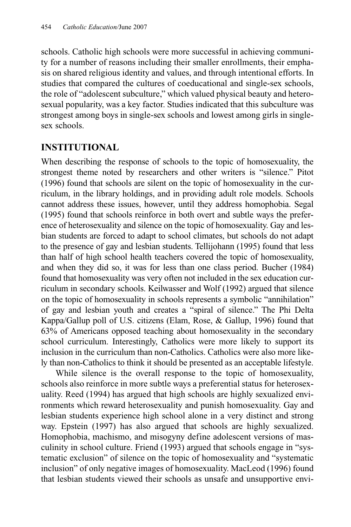schools. Catholic high schools were more successful in achieving community for a number of reasons including their smaller enrollments, their emphasis on shared religious identity and values, and through intentional efforts. In studies that compared the cultures of coeducational and single-sex schools, the role of "adolescent subculture," which valued physical beauty and heterosexual popularity, was a key factor. Studies indicated that this subculture was strongest among boys in single-sex schools and lowest among girls in singlesex schools.

### **INSTITUTIONAL**

When describing the response of schools to the topic of homosexuality, the strongest theme noted by researchers and other writers is "silence." Pitot (1996) found that schools are silent on the topic of homosexuality in the curriculum, in the library holdings, and in providing adult role models. Schools cannot address these issues, however, until they address homophobia. Segal (1995) found that schools reinforce in both overt and subtle ways the preference of heterosexuality and silence on the topic of homosexuality. Gay and lesbian students are forced to adapt to school climates, but schools do not adapt to the presence of gay and lesbian students. Tellijohann (1995) found that less than half of high school health teachers covered the topic of homosexuality, and when they did so, it was for less than one class period. Bucher (1984) found that homosexuality was very often not included in the sex education curriculum in secondary schools. Keilwasser and Wolf (1992) argued that silence on the topic of homosexuality in schools represents a symbolic "annihilation" of gay and lesbian youth and creates a "spiral of silence." The Phi Delta Kappa/Gallup poll of U.S. citizens (Elam, Rose, & Gallup, 1996) found that 63% of Americans opposed teaching about homosexuality in the secondary school curriculum. Interestingly, Catholics were more likely to support its inclusion in the curriculum than non-Catholics. Catholics were also more likely than non-Catholics to think it should be presented as an acceptable lifestyle.

While silence is the overall response to the topic of homosexuality, schools also reinforce in more subtle ways a preferential status for heterosexuality. Reed (1994) has argued that high schools are highly sexualized environments which reward heterosexuality and punish homosexuality. Gay and lesbian students experience high school alone in a very distinct and strong way. Epstein (1997) has also argued that schools are highly sexualized. Homophobia, machismo, and misogyny define adolescent versions of masculinity in school culture. Friend (1993) argued that schools engage in "systematic exclusion" of silence on the topic of homosexuality and "systematic inclusion" of only negative images of homosexuality. MacLeod (1996) found that lesbian students viewed their schools as unsafe and unsupportive envi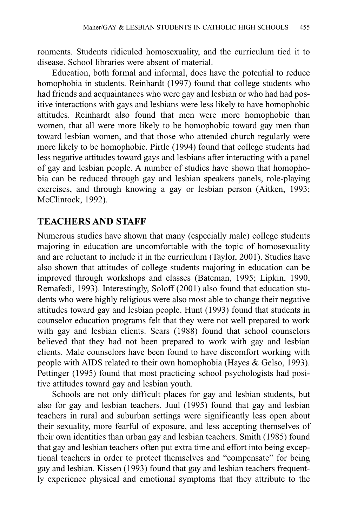ronments. Students ridiculed homosexuality, and the curriculum tied it to disease. School libraries were absent of material.

Education, both formal and informal, does have the potential to reduce homophobia in students. Reinhardt (1997) found that college students who had friends and acquaintances who were gay and lesbian or who had had positive interactions with gays and lesbians were less likely to have homophobic attitudes. Reinhardt also found that men were more homophobic than women, that all were more likely to be homophobic toward gay men than toward lesbian women, and that those who attended church regularly were more likely to be homophobic. Pirtle (1994) found that college students had less negative attitudes toward gays and lesbians after interacting with a panel of gay and lesbian people. A number of studies have shown that homophobia can be reduced through gay and lesbian speakers panels, role-playing exercises, and through knowing a gay or lesbian person (Aitken, 1993; McClintock, 1992).

#### **TEACHERS AND STAFF**

Numerous studies have shown that many (especially male) college students majoring in education are uncomfortable with the topic of homosexuality and are reluctant to include it in the curriculum (Taylor, 2001). Studies have also shown that attitudes of college students majoring in education can be improved through workshops and classes (Bateman, 1995; Lipkin, 1990, Remafedi, 1993). Interestingly, Soloff (2001) also found that education students who were highly religious were also most able to change their negative attitudes toward gay and lesbian people. Hunt (1993) found that students in counselor education programs felt that they were not well prepared to work with gay and lesbian clients. Sears (1988) found that school counselors believed that they had not been prepared to work with gay and lesbian clients. Male counselors have been found to have discomfort working with people with AIDS related to their own homophobia (Hayes & Gelso, 1993). Pettinger (1995) found that most practicing school psychologists had positive attitudes toward gay and lesbian youth.

Schools are not only difficult places for gay and lesbian students, but also for gay and lesbian teachers. Juul (1995) found that gay and lesbian teachers in rural and suburban settings were significantly less open about their sexuality, more fearful of exposure, and less accepting themselves of their own identities than urban gay and lesbian teachers. Smith (1985) found that gay and lesbian teachers often put extra time and effort into being exceptional teachers in order to protect themselves and "compensate" for being gay and lesbian. Kissen (1993) found that gay and lesbian teachers frequently experience physical and emotional symptoms that they attribute to the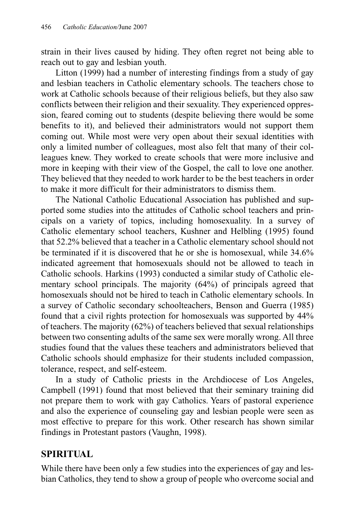strain in their lives caused by hiding. They often regret not being able to reach out to gay and lesbian youth.

Litton (1999) had a number of interesting findings from a study of gay and lesbian teachers in Catholic elementary schools. The teachers chose to work at Catholic schools because of their religious beliefs, but they also saw conflicts between their religion and their sexuality. They experienced oppression, feared coming out to students (despite believing there would be some benefits to it), and believed their administrators would not support them coming out. While most were very open about their sexual identities with only a limited number of colleagues, most also felt that many of their colleagues knew. They worked to create schools that were more inclusive and more in keeping with their view of the Gospel, the call to love one another. They believed that they needed to work harder to be the best teachers in order to make it more difficult for their administrators to dismiss them.

The National Catholic Educational Association has published and supported some studies into the attitudes of Catholic school teachers and principals on a variety of topics, including homosexuality. In a survey of Catholic elementary school teachers, Kushner and Helbling (1995) found that 52.2% believed that a teacher in a Catholic elementary school should not be terminated if it is discovered that he or she is homosexual, while 34.6% indicated agreement that homosexuals should not be allowed to teach in Catholic schools. Harkins (1993) conducted a similar study of Catholic elementary school principals. The majority (64%) of principals agreed that homosexuals should not be hired to teach in Catholic elementary schools. In a survey of Catholic secondary schoolteachers, Benson and Guerra (1985) found that a civil rights protection for homosexuals was supported by 44% of teachers. The majority (62%) of teachers believed that sexual relationships between two consenting adults of the same sex were morally wrong. All three studies found that the values these teachers and administrators believed that Catholic schools should emphasize for their students included compassion, tolerance, respect, and self-esteem.

In a study of Catholic priests in the Archdiocese of Los Angeles, Campbell (1991) found that most believed that their seminary training did not prepare them to work with gay Catholics. Years of pastoral experience and also the experience of counseling gay and lesbian people were seen as most effective to prepare for this work. Other research has shown similar findings in Protestant pastors (Vaughn, 1998).

#### **SPIRITUAL**

While there have been only a few studies into the experiences of gay and lesbian Catholics, they tend to show a group of people who overcome social and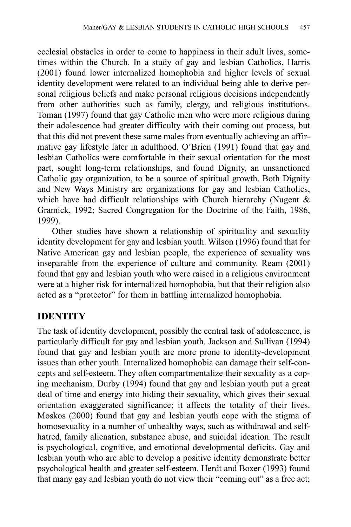ecclesial obstacles in order to come to happiness in their adult lives, sometimes within the Church. In a study of gay and lesbian Catholics, Harris (2001) found lower internalized homophobia and higher levels of sexual identity development were related to an individual being able to derive personal religious beliefs and make personal religious decisions independently from other authorities such as family, clergy, and religious institutions. Toman (1997) found that gay Catholic men who were more religious during their adolescence had greater difficulty with their coming out process, but that this did not prevent these same males from eventually achieving an affirmative gay lifestyle later in adulthood. O'Brien (1991) found that gay and lesbian Catholics were comfortable in their sexual orientation for the most part, sought long-term relationships, and found Dignity, an unsanctioned Catholic gay organization, to be a source of spiritual growth. Both Dignity and New Ways Ministry are organizations for gay and lesbian Catholics, which have had difficult relationships with Church hierarchy (Nugent & Gramick, 1992; Sacred Congregation for the Doctrine of the Faith, 1986, 1999).

Other studies have shown a relationship of spirituality and sexuality identity development for gay and lesbian youth. Wilson (1996) found that for Native American gay and lesbian people, the experience of sexuality was inseparable from the experience of culture and community. Ream (2001) found that gay and lesbian youth who were raised in a religious environment were at a higher risk for internalized homophobia, but that their religion also acted as a "protector" for them in battling internalized homophobia.

### **IDENTITY**

The task of identity development, possibly the central task of adolescence, is particularly difficult for gay and lesbian youth. Jackson and Sullivan (1994) found that gay and lesbian youth are more prone to identity-development issues than other youth. Internalized homophobia can damage their self-concepts and self-esteem. They often compartmentalize their sexuality as a coping mechanism. Durby (1994) found that gay and lesbian youth put a great deal of time and energy into hiding their sexuality, which gives their sexual orientation exaggerated significance; it affects the totality of their lives. Moskos (2000) found that gay and lesbian youth cope with the stigma of homosexuality in a number of unhealthy ways, such as withdrawal and selfhatred, family alienation, substance abuse, and suicidal ideation. The result is psychological, cognitive, and emotional developmental deficits. Gay and lesbian youth who are able to develop a positive identity demonstrate better psychological health and greater self-esteem. Herdt and Boxer (1993) found that many gay and lesbian youth do not view their "coming out" as a free act;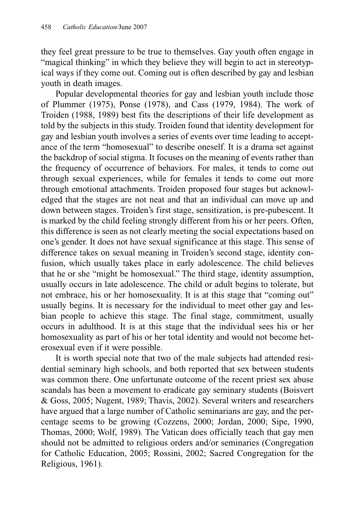they feel great pressure to be true to themselves. Gay youth often engage in "magical thinking" in which they believe they will begin to act in stereotypical ways if they come out. Coming out is often described by gay and lesbian youth in death images.

Popular developmental theories for gay and lesbian youth include those of Plummer (1975), Ponse (1978), and Cass (1979, 1984). The work of Troiden (1988, 1989) best fits the descriptions of their life development as told by the subjects in this study. Troiden found that identity development for gay and lesbian youth involves a series of events over time leading to acceptance of the term "homosexual" to describe oneself. It is a drama set against the backdrop of social stigma. It focuses on the meaning of events rather than the frequency of occurrence of behaviors. For males, it tends to come out through sexual experiences, while for females it tends to come out more through emotional attachments. Troiden proposed four stages but acknowledged that the stages are not neat and that an individual can move up and down between stages. Troiden's first stage, sensitization, is pre-pubescent. It is marked by the child feeling strongly different from his or her peers. Often, this difference is seen as not clearly meeting the social expectations based on one's gender. It does not have sexual significance at this stage. This sense of difference takes on sexual meaning in Troiden's second stage, identity confusion, which usually takes place in early adolescence. The child believes that he or she "might be homosexual." The third stage, identity assumption, usually occurs in late adolescence. The child or adult begins to tolerate, but not embrace, his or her homosexuality. It is at this stage that "coming out" usually begins. It is necessary for the individual to meet other gay and lesbian people to achieve this stage. The final stage, commitment, usually occurs in adulthood. It is at this stage that the individual sees his or her homosexuality as part of his or her total identity and would not become heterosexual even if it were possible.

It is worth special note that two of the male subjects had attended residential seminary high schools, and both reported that sex between students was common there. One unfortunate outcome of the recent priest sex abuse scandals has been a movement to eradicate gay seminary students (Boisvert & Goss, 2005; Nugent, 1989; Thavis, 2002). Several writers and researchers have argued that a large number of Catholic seminarians are gay, and the percentage seems to be growing (Cozzens, 2000; Jordan, 2000; Sipe, 1990, Thomas, 2000; Wolf, 1989). The Vatican does officially teach that gay men should not be admitted to religious orders and/or seminaries (Congregation for Catholic Education, 2005; Rossini, 2002; Sacred Congregation for the Religious, 1961).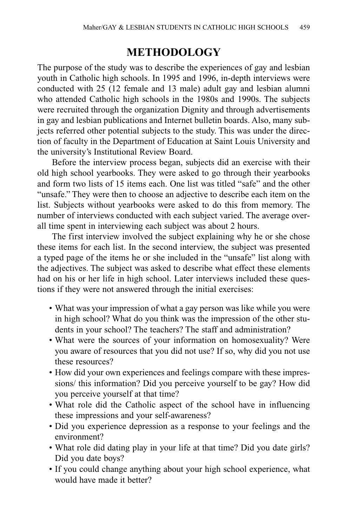## **METHODOLOGY**

The purpose of the study was to describe the experiences of gay and lesbian youth in Catholic high schools. In 1995 and 1996, in-depth interviews were conducted with 25 (12 female and 13 male) adult gay and lesbian alumni who attended Catholic high schools in the 1980s and 1990s. The subjects were recruited through the organization Dignity and through advertisements in gay and lesbian publications and Internet bulletin boards. Also, many subjects referred other potential subjects to the study. This was under the direction of faculty in the Department of Education at Saint Louis University and the university's Institutional Review Board.

Before the interview process began, subjects did an exercise with their old high school yearbooks. They were asked to go through their yearbooks and form two lists of 15 items each. One list was titled "safe" and the other "unsafe." They were then to choose an adjective to describe each item on the list. Subjects without yearbooks were asked to do this from memory. The number of interviews conducted with each subject varied. The average overall time spent in interviewing each subject was about 2 hours.

The first interview involved the subject explaining why he or she chose these items for each list. In the second interview, the subject was presented a typed page of the items he or she included in the "unsafe" list along with the adjectives. The subject was asked to describe what effect these elements had on his or her life in high school. Later interviews included these questions if they were not answered through the initial exercises:

- What was your impression of what a gay person was like while you were in high school? What do you think was the impression of the other students in your school? The teachers? The staff and administration?
- What were the sources of your information on homosexuality? Were you aware of resources that you did not use? If so, why did you not use these resources?
- How did your own experiences and feelings compare with these impressions/ this information? Did you perceive yourself to be gay? How did you perceive yourself at that time?
- What role did the Catholic aspect of the school have in influencing these impressions and your self-awareness?
- Did you experience depression as a response to your feelings and the environment?
- What role did dating play in your life at that time? Did you date girls? Did you date boys?
- If you could change anything about your high school experience, what would have made it better?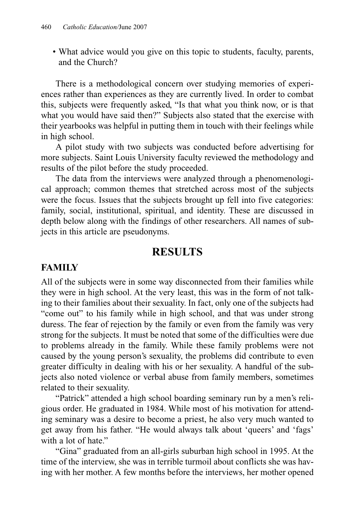• What advice would you give on this topic to students, faculty, parents, and the Church?

There is a methodological concern over studying memories of experiences rather than experiences as they are currently lived. In order to combat this, subjects were frequently asked, "Is that what you think now, or is that what you would have said then?" Subjects also stated that the exercise with their yearbooks was helpful in putting them in touch with their feelings while in high school.

A pilot study with two subjects was conducted before advertising for more subjects. Saint Louis University faculty reviewed the methodology and results of the pilot before the study proceeded.

The data from the interviews were analyzed through a phenomenological approach; common themes that stretched across most of the subjects were the focus. Issues that the subjects brought up fell into five categories: family, social, institutional, spiritual, and identity. These are discussed in depth below along with the findings of other researchers. All names of subjects in this article are pseudonyms.

### **RESULTS**

#### **FAMILY**

All of the subjects were in some way disconnected from their families while they were in high school. At the very least, this was in the form of not talking to their families about their sexuality. In fact, only one of the subjects had "come out" to his family while in high school, and that was under strong duress. The fear of rejection by the family or even from the family was very strong for the subjects. It must be noted that some of the difficulties were due to problems already in the family. While these family problems were not caused by the young person's sexuality, the problems did contribute to even greater difficulty in dealing with his or her sexuality. A handful of the subjects also noted violence or verbal abuse from family members, sometimes related to their sexuality.

"Patrick" attended a high school boarding seminary run by a men's religious order. He graduated in 1984. While most of his motivation for attending seminary was a desire to become a priest, he also very much wanted to get away from his father. "He would always talk about 'queers' and 'fags' with a lot of hate."

"Gina" graduated from an all-girls suburban high school in 1995. At the time of the interview, she was in terrible turmoil about conflicts she was having with her mother. A few months before the interviews, her mother opened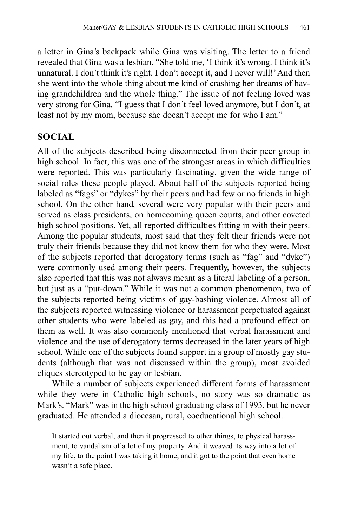a letter in Gina's backpack while Gina was visiting. The letter to a friend revealed that Gina was a lesbian. "She told me, 'I think it's wrong. I think it's unnatural. I don't think it's right. I don't accept it, and I never will!' And then she went into the whole thing about me kind of crashing her dreams of having grandchildren and the whole thing." The issue of not feeling loved was very strong for Gina. "I guess that I don't feel loved anymore, but I don't, at least not by my mom, because she doesn't accept me for who I am."

#### **SOCIAL**

All of the subjects described being disconnected from their peer group in high school. In fact, this was one of the strongest areas in which difficulties were reported. This was particularly fascinating, given the wide range of social roles these people played. About half of the subjects reported being labeled as "fags" or "dykes" by their peers and had few or no friends in high school. On the other hand, several were very popular with their peers and served as class presidents, on homecoming queen courts, and other coveted high school positions. Yet, all reported difficulties fitting in with their peers. Among the popular students, most said that they felt their friends were not truly their friends because they did not know them for who they were. Most of the subjects reported that derogatory terms (such as "fag" and "dyke") were commonly used among their peers. Frequently, however, the subjects also reported that this was not always meant as a literal labeling of a person, but just as a "put-down." While it was not a common phenomenon, two of the subjects reported being victims of gay-bashing violence. Almost all of the subjects reported witnessing violence or harassment perpetuated against other students who were labeled as gay, and this had a profound effect on them as well. It was also commonly mentioned that verbal harassment and violence and the use of derogatory terms decreased in the later years of high school. While one of the subjects found support in a group of mostly gay students (although that was not discussed within the group), most avoided cliques stereotyped to be gay or lesbian.

While a number of subjects experienced different forms of harassment while they were in Catholic high schools, no story was so dramatic as Mark's. "Mark" was in the high school graduating class of 1993, but he never graduated. He attended a diocesan, rural, coeducational high school.

It started out verbal, and then it progressed to other things, to physical harassment, to vandalism of a lot of my property. And it weaved its way into a lot of my life, to the point I was taking it home, and it got to the point that even home wasn't a safe place.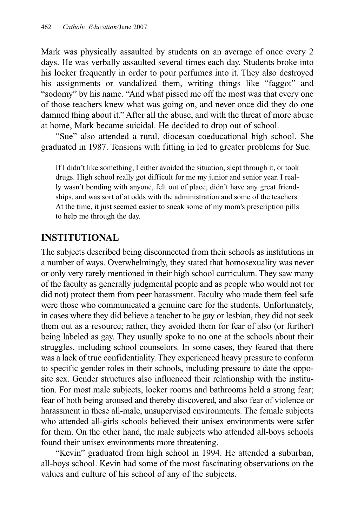Mark was physically assaulted by students on an average of once every 2 days. He was verbally assaulted several times each day. Students broke into his locker frequently in order to pour perfumes into it. They also destroyed his assignments or vandalized them, writing things like "faggot" and "sodomy" by his name. "And what pissed me off the most was that every one of those teachers knew what was going on, and never once did they do one damned thing about it." After all the abuse, and with the threat of more abuse at home, Mark became suicidal. He decided to drop out of school.

"Sue" also attended a rural, diocesan coeducational high school. She graduated in 1987. Tensions with fitting in led to greater problems for Sue.

If I didn't like something, I either avoided the situation, slept through it, or took drugs. High school really got difficult for me my junior and senior year. I really wasn't bonding with anyone, felt out of place, didn't have any great friendships, and was sort of at odds with the administration and some of the teachers. At the time, it just seemed easier to sneak some of my mom's prescription pills to help me through the day.

#### **INSTITUTIONAL**

The subjects described being disconnected from their schools as institutions in a number of ways. Overwhelmingly, they stated that homosexuality was never or only very rarely mentioned in their high school curriculum. They saw many of the faculty as generally judgmental people and as people who would not (or did not) protect them from peer harassment. Faculty who made them feel safe were those who communicated a genuine care for the students. Unfortunately, in cases where they did believe a teacher to be gay or lesbian, they did not seek them out as a resource; rather, they avoided them for fear of also (or further) being labeled as gay. They usually spoke to no one at the schools about their struggles, including school counselors. In some cases, they feared that there was a lack of true confidentiality. They experienced heavy pressure to conform to specific gender roles in their schools, including pressure to date the opposite sex. Gender structures also influenced their relationship with the institution. For most male subjects, locker rooms and bathrooms held a strong fear; fear of both being aroused and thereby discovered, and also fear of violence or harassment in these all-male, unsupervised environments. The female subjects who attended all-girls schools believed their unisex environments were safer for them. On the other hand, the male subjects who attended all-boys schools found their unisex environments more threatening.

"Kevin" graduated from high school in 1994. He attended a suburban, all-boys school. Kevin had some of the most fascinating observations on the values and culture of his school of any of the subjects.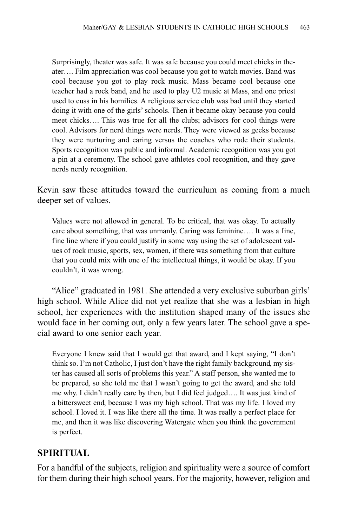Surprisingly, theater was safe. It was safe because you could meet chicks in theater…. Film appreciation was cool because you got to watch movies. Band was cool because you got to play rock music. Mass became cool because one teacher had a rock band, and he used to play U2 music at Mass, and one priest used to cuss in his homilies. A religious service club was bad until they started doing it with one of the girls' schools. Then it became okay because you could meet chicks…. This was true for all the clubs; advisors for cool things were cool. Advisors for nerd things were nerds. They were viewed as geeks because they were nurturing and caring versus the coaches who rode their students. Sports recognition was public and informal. Academic recognition was you got a pin at a ceremony. The school gave athletes cool recognition, and they gave nerds nerdy recognition.

Kevin saw these attitudes toward the curriculum as coming from a much deeper set of values.

Values were not allowed in general. To be critical, that was okay. To actually care about something, that was unmanly. Caring was feminine…. It was a fine, fine line where if you could justify in some way using the set of adolescent values of rock music, sports, sex, women, if there was something from that culture that you could mix with one of the intellectual things, it would be okay. If you couldn't, it was wrong.

"Alice" graduated in 1981. She attended a very exclusive suburban girls' high school. While Alice did not yet realize that she was a lesbian in high school, her experiences with the institution shaped many of the issues she would face in her coming out, only a few years later. The school gave a special award to one senior each year.

Everyone I knew said that I would get that award, and I kept saying, "I don't think so. I'm not Catholic, I just don't have the right family background, my sister has caused all sorts of problems this year." A staff person, she wanted me to be prepared, so she told me that I wasn't going to get the award, and she told me why. I didn't really care by then, but I did feel judged…. It was just kind of a bittersweet end, because I was my high school. That was my life. I loved my school. I loved it. I was like there all the time. It was really a perfect place for me, and then it was like discovering Watergate when you think the government is perfect.

#### **SPIRITUAL**

For a handful of the subjects, religion and spirituality were a source of comfort for them during their high school years. For the majority, however, religion and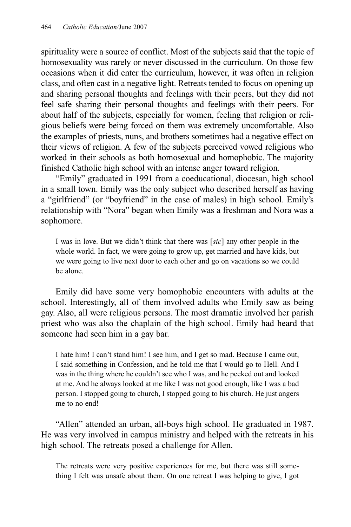spirituality were a source of conflict. Most of the subjects said that the topic of homosexuality was rarely or never discussed in the curriculum. On those few occasions when it did enter the curriculum, however, it was often in religion class, and often cast in a negative light. Retreats tended to focus on opening up and sharing personal thoughts and feelings with their peers, but they did not feel safe sharing their personal thoughts and feelings with their peers. For about half of the subjects, especially for women, feeling that religion or religious beliefs were being forced on them was extremely uncomfortable. Also the examples of priests, nuns, and brothers sometimes had a negative effect on their views of religion. A few of the subjects perceived vowed religious who worked in their schools as both homosexual and homophobic. The majority finished Catholic high school with an intense anger toward religion.

"Emily" graduated in 1991 from a coeducational, diocesan, high school in a small town. Emily was the only subject who described herself as having a "girlfriend" (or "boyfriend" in the case of males) in high school. Emily's relationship with "Nora" began when Emily was a freshman and Nora was a sophomore.

I was in love. But we didn't think that there was [*sic*] any other people in the whole world. In fact, we were going to grow up, get married and have kids, but we were going to live next door to each other and go on vacations so we could be alone.

Emily did have some very homophobic encounters with adults at the school. Interestingly, all of them involved adults who Emily saw as being gay. Also, all were religious persons. The most dramatic involved her parish priest who was also the chaplain of the high school. Emily had heard that someone had seen him in a gay bar.

I hate him! I can't stand him! I see him, and I get so mad. Because I came out, I said something in Confession, and he told me that I would go to Hell. And I was in the thing where he couldn't see who I was, and he peeked out and looked at me. And he always looked at me like I was not good enough, like I was a bad person. I stopped going to church, I stopped going to his church. He just angers me to no end!

"Allen" attended an urban, all-boys high school. He graduated in 1987. He was very involved in campus ministry and helped with the retreats in his high school. The retreats posed a challenge for Allen.

The retreats were very positive experiences for me, but there was still something I felt was unsafe about them. On one retreat I was helping to give, I got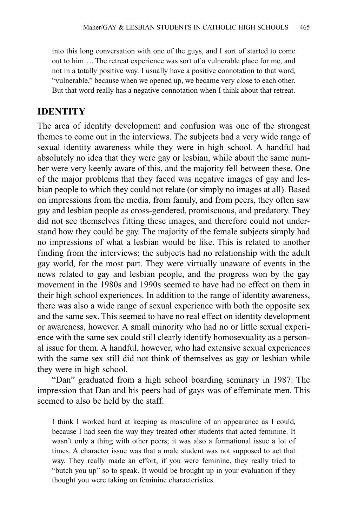into this long conversation with one of the guys, and I sort of started to come out to him…. The retreat experience was sort of a vulnerable place for me, and not in a totally positive way. I usually have a positive connotation to that word, "vulnerable," because when we opened up, we became very close to each other. But that word really has a negative connotation when I think about that retreat.

#### **IDENTITY**

The area of identity development and confusion was one of the strongest themes to come out in the interviews. The subjects had a very wide range of sexual identity awareness while they were in high school. A handful had absolutely no idea that they were gay or lesbian, while about the same number were very keenly aware of this, and the majority fell between these. One of the major problems that they faced was negative images of gay and lesbian people to which they could not relate (or simply no images at all). Based on impressions from the media, from family, and from peers, they often saw gay and lesbian people as cross-gendered, promiscuous, and predatory. They did not see themselves fitting these images, and therefore could not understand how they could be gay. The majority of the female subjects simply had no impressions of what a lesbian would be like. This is related to another finding from the interviews; the subjects had no relationship with the adult gay world, for the most part. They were virtually unaware of events in the news related to gay and lesbian people, and the progress won by the gay movement in the 1980s and 1990s seemed to have had no effect on them in their high school experiences. In addition to the range of identity awareness, there was also a wide range of sexual experience with both the opposite sex and the same sex. This seemed to have no real effect on identity development or awareness, however. A small minority who had no or little sexual experience with the same sex could still clearly identify homosexuality as a personal issue for them. A handful, however, who had extensive sexual experiences with the same sex still did not think of themselves as gay or lesbian while they were in high school.

"Dan" graduated from a high school boarding seminary in 1987. The impression that Dan and his peers had of gays was of effeminate men. This seemed to also be held by the staff.

I think I worked hard at keeping as masculine of an appearance as I could, because I had seen the way they treated other students that acted feminine. It wasn't only a thing with other peers; it was also a formational issue a lot of times. A character issue was that a male student was not supposed to act that way. They really made an effort, if you were feminine, they really tried to "butch you up" so to speak. It would be brought up in your evaluation if they thought you were taking on feminine characteristics.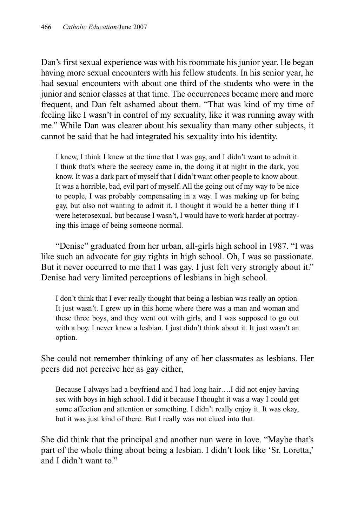Dan's first sexual experience was with his roommate his junior year. He began having more sexual encounters with his fellow students. In his senior year, he had sexual encounters with about one third of the students who were in the junior and senior classes at that time. The occurrences became more and more frequent, and Dan felt ashamed about them. "That was kind of my time of feeling like I wasn't in control of my sexuality, like it was running away with me." While Dan was clearer about his sexuality than many other subjects, it cannot be said that he had integrated his sexuality into his identity.

I knew, I think I knew at the time that I was gay, and I didn't want to admit it. I think that's where the secrecy came in, the doing it at night in the dark, you know. It was a dark part of myself that I didn't want other people to know about. It was a horrible, bad, evil part of myself. All the going out of my way to be nice to people, I was probably compensating in a way. I was making up for being gay, but also not wanting to admit it. I thought it would be a better thing if I were heterosexual, but because I wasn't, I would have to work harder at portraying this image of being someone normal.

"Denise" graduated from her urban, all-girls high school in 1987. "I was like such an advocate for gay rights in high school. Oh, I was so passionate. But it never occurred to me that I was gay. I just felt very strongly about it." Denise had very limited perceptions of lesbians in high school.

I don't think that I ever really thought that being a lesbian was really an option. It just wasn't. I grew up in this home where there was a man and woman and these three boys, and they went out with girls, and I was supposed to go out with a boy. I never knew a lesbian. I just didn't think about it. It just wasn't an option.

She could not remember thinking of any of her classmates as lesbians. Her peers did not perceive her as gay either,

Because I always had a boyfriend and I had long hair….I did not enjoy having sex with boys in high school. I did it because I thought it was a way I could get some affection and attention or something. I didn't really enjoy it. It was okay, but it was just kind of there. But I really was not clued into that.

She did think that the principal and another nun were in love. "Maybe that's part of the whole thing about being a lesbian. I didn't look like 'Sr. Loretta,' and I didn't want to."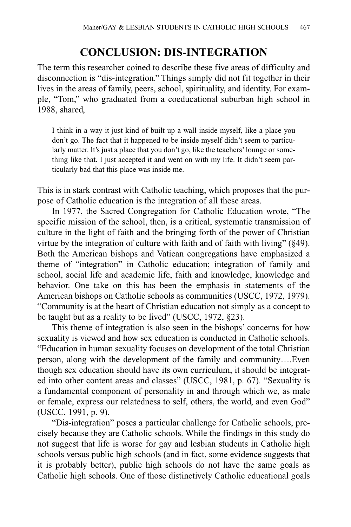## **CONCLUSION: DIS-INTEGRATION**

The term this researcher coined to describe these five areas of difficulty and disconnection is "dis-integration." Things simply did not fit together in their lives in the areas of family, peers, school, spirituality, and identity. For example, "Tom," who graduated from a coeducational suburban high school in 1988, shared,

I think in a way it just kind of built up a wall inside myself, like a place you don't go. The fact that it happened to be inside myself didn't seem to particularly matter. It's just a place that you don't go, like the teachers' lounge or something like that. I just accepted it and went on with my life. It didn't seem particularly bad that this place was inside me.

This is in stark contrast with Catholic teaching, which proposes that the purpose of Catholic education is the integration of all these areas.

In 1977, the Sacred Congregation for Catholic Education wrote, "The specific mission of the school, then, is a critical, systematic transmission of culture in the light of faith and the bringing forth of the power of Christian virtue by the integration of culture with faith and of faith with living" (§49). Both the American bishops and Vatican congregations have emphasized a theme of "integration" in Catholic education; integration of family and school, social life and academic life, faith and knowledge, knowledge and behavior. One take on this has been the emphasis in statements of the American bishops on Catholic schools as communities (USCC, 1972, 1979). "Community is at the heart of Christian education not simply as a concept to be taught but as a reality to be lived" (USCC, 1972, §23).

This theme of integration is also seen in the bishops' concerns for how sexuality is viewed and how sex education is conducted in Catholic schools. "Education in human sexuality focuses on development of the total Christian person, along with the development of the family and community….Even though sex education should have its own curriculum, it should be integrated into other content areas and classes" (USCC, 1981, p. 67). "Sexuality is a fundamental component of personality in and through which we, as male or female, express our relatedness to self, others, the world, and even God" (USCC, 1991, p. 9).

"Dis-integration" poses a particular challenge for Catholic schools, precisely because they are Catholic schools. While the findings in this study do not suggest that life is worse for gay and lesbian students in Catholic high schools versus public high schools (and in fact, some evidence suggests that it is probably better), public high schools do not have the same goals as Catholic high schools. One of those distinctively Catholic educational goals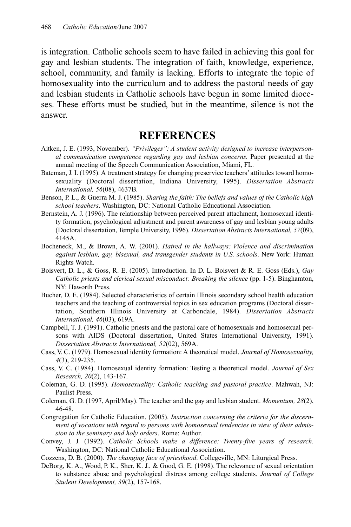is integration. Catholic schools seem to have failed in achieving this goal for gay and lesbian students. The integration of faith, knowledge, experience, school, community, and family is lacking. Efforts to integrate the topic of homosexuality into the curriculum and to address the pastoral needs of gay and lesbian students in Catholic schools have begun in some limited dioceses. These efforts must be studied, but in the meantime, silence is not the answer.

## **REFERENCES**

- Aitken, J. E. (1993, November). *"Privileges": A student activity designed to increase interpersonal communication competence regarding gay and lesbian concerns.* Paper presented at the annual meeting of the Speech Communication Association, Miami, FL.
- Bateman, J. I. (1995). A treatment strategy for changing preservice teachers' attitudes toward homosexuality (Doctoral dissertation, Indiana University, 1995). *Dissertation Abstracts International, 56*(08), 4637B.
- Benson, P. L., & Guerra M. J. (1985). *Sharing the faith: The beliefs and values of the Catholic high school teachers*. Washington, DC: National Catholic Educational Association.
- Bernstein, A. J. (1996). The relationship between perceived parent attachment, homosexual identity formation, psychological adjustment and parent awareness of gay and lesbian young adults (Doctoral dissertation, Temple University, 1996). *Dissertation Abstracts International, 57*(09), 4145A.
- Bocheneck, M., & Brown, A. W. (2001). *Hatred in the hallways: Violence and discrimination against lesbian, gay, bisexual, and transgender students in U.S. schools*. New York: Human Rights Watch.
- Boisvert, D. L., & Goss, R. E. (2005). Introduction. In D. L. Boisvert & R. E. Goss (Eds.), *Gay Catholic priests and clerical sexual misconduct: Breaking the silence* (pp. 1-5). Binghamton, NY: Haworth Press.
- Bucher, D. E. (1984). Selected characteristics of certain Illinois secondary school health education teachers and the teaching of controversial topics in sex education programs (Doctoral dissertation, Southern Illinois University at Carbondale, 1984). *Dissertation Abstracts International, 46*(03), 619A.
- Campbell, T. J. (1991). Catholic priests and the pastoral care of homosexuals and homosexual persons with AIDS (Doctoral dissertation, United States International University, 1991). *Dissertation Abstracts International, 52*(02), 569A.
- Cass, V. C. (1979). Homosexual identity formation: A theoretical model. *Journal of Homosexuality, 4*(3), 219-235.
- Cass, V. C. (1984). Homosexual identity formation: Testing a theoretical model. *Journal of Sex Research, 20*(2), 143-167.
- Coleman, G. D. (1995). *Homosexuality: Catholic teaching and pastoral practice*. Mahwah, NJ: Paulist Press.
- Coleman, G. D. (1997, April/May). The teacher and the gay and lesbian student. *Momentum, 28*(2), 46-48.
- Congregation for Catholic Education. (2005). *Instruction concerning the criteria for the discernment of vocations with regard to persons with homosevual tendencies in view of their admission to the seminary and holy orders*. Rome: Author.
- Convey, J. J. (1992). *Catholic Schools make a difference: Twenty-five years of research*. Washington, DC: National Catholic Educational Association.
- Cozzens, D. B. (2000). *The changing face of priesthood*. Collegeville, MN: Liturgical Press.
- DeBorg, K. A., Wood, P. K., Sher, K. J., & Good, G. E. (1998). The relevance of sexual orientation to substance abuse and psychological distress among college students. *Journal of College Student Development, 39*(2), 157-168.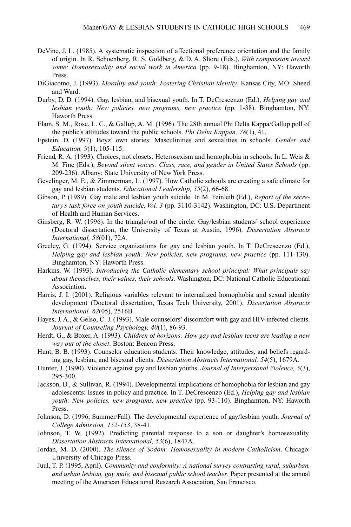- DeVine, J. L. (1985). A systematic inspection of affectional preference orientation and the family of origin. In R. Schoenberg, R. S. Goldberg, & D. A. Shore (Eds.), *With compassion toward some: Homosexuality and social work in America* (pp. 9-18). Binghamton, NY: Haworth Press.
- DiGiacomo, J. (1993). *Morality and youth: Fostering Christian identity*. Kansas City, MO: Sheed and Ward.
- Durby, D. D. (1994). Gay, lesbian, and bisexual youth. In T. DeCrescenzo (Ed.), *Helping gay and lesbian youth: New policies, new programs, new practice* (pp. 1-38). Binghamton, NY: Haworth Press.
- Elam, S. M., Rose, L. C., & Gallup, A. M. (1996). The 28th annual Phi Delta Kappa/Gallup poll of the public's attitudes toward the public schools. *Phi Delta Kappan, 78*(1), 41.
- Epstein, D. (1997). Boyz' own stories: Masculinities and sexualities in schools. *Gender and Education, 9*(1), 105-115.
- Friend, R. A. (1993). Choices, not closets: Heterosexism and homophobia in schools. In L. Weis & M. Fine (Eds.), *Beyond silent voices: Class, race, and gender in United States Schools* (pp. 209-236). Albany: State University of New York Press.
- Gevelinger, M. E., & Zimmerman, L. (1997). How Catholic schools are creating a safe climate for gay and lesbian students. *Educational Leadership, 55*(2), 66-68.
- Gibson, P. (1989). Gay male and lesbian youth suicide. In M. Feinleib (Ed.), *Report of the secretary's task force on youth suicide, Vol. 3* (pp. 3110-3142). Washington, DC: U.S. Department of Health and Human Services.
- Ginsberg, R. W. (1996). In the triangle/out of the circle: Gay/lesbian students' school experience (Doctoral dissertation, the University of Texas at Austin, 1996). *Dissertation Abstracts International, 58*(01), 72A.
- Greeley, G. (1994). Service organizations for gay and lesbian youth. In T. DeCrescenzo (Ed.), *Helping gay and lesbian youth: New policies, new programs, new practice* (pp. 111-130). Binghamton, NY: Haworth Press.
- Harkins, W. (1993). *Introducing the Catholic elementary school principal: What principals say about themselves, their values, their schools*. Washington, DC: National Catholic Educational Association.
- Harris, J. I. (2001). Religious variables relevant to internalized homophobia and sexual identity development (Doctoral dissertation, Texas Tech University, 2001). *Dissertation Abstracts International, 62*(05), 2516B.
- Hayes, J. A., & Gelso, C. J. (1993). Male counselors' discomfort with gay and HIV-infected clients. *Journal of Counseling Psychology, 40*(1), 86-93.
- Herdt, G., & Boxer, A. (1993). *Children of horizons: How gay and lesbian teens are leading a new way out of the closet*. Boston: Beacon Press.
- Hunt, B. B. (1993). Counselor education students: Their knowledge, attitudes, and beliefs regarding gay, lesbian, and bisexual clients. *Dissertation Abstracts International, 54*(5), 1679A.
- Hunter, J. (1990). Violence against gay and lesbian youths. *Journal of Interpersonal Violence, 5*(3), 295-300.
- Jackson, D., & Sullivan, R. (1994). Developmental implications of homophobia for lesbian and gay adolescents: Issues in policy and practice. In T. DeCrescenzo (Ed.), *Helping gay and lesbian youth: New policies, new programs, new practice* (pp. 93-110). Binghamton, NY: Haworth Press.
- Johnson, D. (1996, Summer/Fall). The developmental experience of gay/lesbian youth. *Journal of College Admission, 152-153*, 38-41.
- Johnson, T. W. (1992). Predicting parental response to a son or daughter's homosexuality. *Dissertation Abstracts International, 53*(6), 1847A.
- Jordan, M. D. (2000). *The silence of Sodom: Homosexuality in modern Catholicism*. Chicago: University of Chicago Press.
- Juul, T. P. (1995, April). *Community and conformity: A national survey contrasting rural, suburban, and urban lesbian, gay male, and bisexual public school teacher*. Paper presented at the annual meeting of the American Educational Research Association, San Francisco.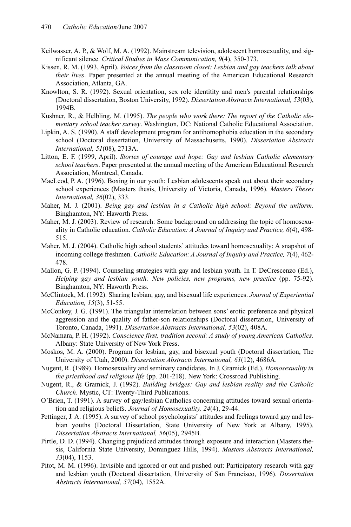- Keilwasser, A. P., & Wolf, M. A. (1992). Mainstream television, adolescent homosexuality, and significant silence. *Critical Studies in Mass Communication, 9*(4), 350-373.
- Kissen, R. M. (1993, April). *Voices from the classroom closet: Lesbian and gay teachers talk about their lives*. Paper presented at the annual meeting of the American Educational Research Association, Atlanta, GA.
- Knowlton, S. R. (1992). Sexual orientation, sex role identitity and men's parental relationships (Doctoral dissertation, Boston University, 1992). *Dissertation Abstracts International, 53*(03), 1994B.
- Kushner, R., & Helbling, M. (1995). *The people who work there: The report of the Catholic elementary school teacher survey*. Washington, DC: National Catholic Educational Association.
- Lipkin, A. S. (1990). A staff development program for antihomophobia education in the secondary school (Doctoral dissertation, University of Massachusetts, 1990). *Dissertation Abstracts International, 51*(08), 2713A.
- Litton, E. F. (1999, April). *Stories of courage and hope: Gay and lesbian Catholic elementary school teachers*. Paper presented at the annual meeting of the American Educational Research Association, Montreal, Canada.
- MacLeod, P. A. (1996). Boxing in our youth: Lesbian adolescents speak out about their secondary school experiences (Masters thesis, University of Victoria, Canada, 1996). *Masters Theses International, 36*(02), 333.
- Maher, M. J. (2001). *Being gay and lesbian in a Catholic high school: Beyond the uniform*. Binghamton, NY: Haworth Press.
- Maher, M. J. (2003). Review of research: Some background on addressing the topic of homosexuality in Catholic education. *Catholic Education: A Journal of Inquiry and Practice, 6*(4), 498- 515.
- Maher, M. J. (2004). Catholic high school students' attitudes toward homosexuality: A snapshot of incoming college freshmen. *Catholic Education: A Journal of Inquiry and Practice, 7*(4), 462- 478.
- Mallon, G. P. (1994). Counseling strategies with gay and lesbian youth. In T. DeCrescenzo (Ed.), *Helping gay and lesbian youth: New policies, new programs, new practice* (pp. 75-92). Binghamton, NY: Haworth Press.
- McClintock, M. (1992). Sharing lesbian, gay, and bisexual life experiences. *Journal of Experiential Education, 15*(3), 51-55.
- McConkey, J. G. (1991). The triangular interrelation between sons' erotic preference and physical aggression and the quality of father-son relationships (Doctoral dissertation, University of Toronto, Canada, 1991). *Dissertation Abstracts International, 53*(02), 408A.
- McNamara, P. H. (1992). *Conscience first, tradition second: A study of young American Catholics*. Albany: State University of New York Press.
- Moskos, M. A. (2000). Program for lesbian, gay, and bisexual youth (Doctoral dissertation, The University of Utah, 2000). *Dissertation Abstracts International, 61*(12), 4686A.
- Nugent, R. (1989). Homosexuality and seminary candidates. In J. Gramick (Ed.), *Homosexuality in the priesthood and religious life* (pp. 201-218). New York: Crossroad Publishing.
- Nugent, R., & Gramick, J. (1992). *Building bridges: Gay and lesbian reality and the Catholic Church*. Mystic, CT: Twenty-Third Publications.
- O'Brien, T. (1991). A survey of gay/lesbian Catholics concerning attitudes toward sexual orientation and religious beliefs. *Journal of Homosexuality, 24*(4), 29-44.
- Pettinger, J. A. (1995). A survey of school psychologists' attitudes and feelings toward gay and lesbian youths (Doctoral Dissertation, State University of New York at Albany, 1995). *Dissertation Abstracts International, 56*(05), 2945B.
- Pirtle, D. D. (1994). Changing prejudiced attitudes through exposure and interaction (Masters thesis, California State University, Dominguez Hills, 1994). *Masters Abstracts International, 33*(04), 1153.
- Pitot, M. M. (1996). Invisible and ignored or out and pushed out: Participatory research with gay and lesbian youth (Doctoral dissertation, University of San Francisco, 1996). *Dissertation Abstracts International, 57*(04), 1552A.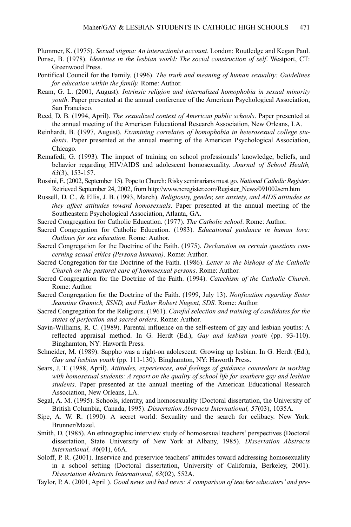Plummer, K. (1975). *Sexual stigma: An interactionist account*. London: Routledge and Kegan Paul.

- Ponse, B. (1978). *Identities in the lesbian world: The social construction of self*. Westport, CT: Greenwood Press.
- Pontifical Council for the Family. (1996). *The truth and meaning of human sexuality: Guidelines for education within the family.* Rome: Author.
- Ream, G. L. (2001, August). *Intrinsic religion and internalized homophobia in sexual minority youth*. Paper presented at the annual conference of the American Psychological Association, San Francisco.
- Reed, D. B. (1994, April). *The sexualized context of American public schools*. Paper presented at the annual meeting of the American Educational Research Association, New Orleans, LA.
- Reinhardt, B. (1997, August). *Examining correlates of homophobia in heterosexual college students*. Paper presented at the annual meeting of the American Psychological Association, Chicago.
- Remafedi, G. (1993). The impact of training on school professionals' knowledge, beliefs, and behavior regarding HIV/AIDS and adolescent homosexuality. *Journal of School Health, 63*(3), 153-157.
- Rossini, E. (2002, September 15). Pope to Church: Risky seminarians must go. *National Catholic Register*. Retrieved September 24, 2002, from http://www.ncregister.com/Register\_News/091002sem.htm
- Russell, D. C., & Ellis, J. B. (1993, March). *Religiosity, gender, sex anxiety, and AIDS attitudes as they affect attitudes toward homosexuals*. Paper presented at the annual meeting of the Southeastern Psychological Association, Atlanta, GA.
- Sacred Congregation for Catholic Education. (1977). *The Catholic school*. Rome: Author.
- Sacred Congregation for Catholic Education. (1983). *Educational guidance in human love: Outlines for sex education*. Rome: Author.
- Sacred Congregation for the Doctrine of the Faith. (1975). *Declaration on certain questions concerning sexual ethics (Persona humana)*. Rome: Author.
- Sacred Congregation for the Doctrine of the Faith. (1986). *Letter to the bishops of the Catholic Church on the pastoral care of homosexual persons*. Rome: Author.
- Sacred Congregation for the Doctrine of the Faith. (1994). *Catechism of the Catholic Church*. Rome: Author.
- Sacred Congregation for the Doctrine of the Faith. (1999, July 13). *Notification regarding Sister Jeannine Gramick, SSND, and Father Robert Nugent, SDS*. Rome: Author.
- Sacred Congregation for the Religious. (1961). *Careful selection and training of candidates for the states of perfection and sacred orders*. Rome: Author.
- Savin-Williams, R. C. (1989). Parental influence on the self-esteem of gay and lesbian youths: A reflected appraisal method. In G. Herdt (Ed.), *Gay and lesbian youth* (pp. 93-110). Binghamton, NY: Haworth Press.
- Schneider, M. (1989). Sappho was a right-on adolescent: Growing up lesbian. In G. Herdt (Ed.), *Gay and lesbian youth* (pp. 111-130). Binghamton, NY: Haworth Press.
- Sears, J. T. (1988, April). *Attitudes, experiences, and feelings of guidance counselors in working with homosexual students: A report on the quality of school life for southern gay and lesbian students*. Paper presented at the annual meeting of the American Educational Research Association, New Orleans, LA.
- Segal, A. M. (1995). Schools, identity, and homosexuality (Doctoral dissertation, the University of British Columbia, Canada, 1995). *Dissertation Abstracts International, 57*(03), 1035A.
- Sipe, A. W. R. (1990). A secret world: Sexuality and the search for celibacy. New York: Brunner/Mazel.
- Smith, D. (1985). An ethnographic interview study of homosexual teachers' perspectives (Doctoral dissertation, State University of New York at Albany, 1985). *Dissertation Abstracts International, 46*(01), 66A.
- Soloff, P. R. (2001). Inservice and preservice teachers' attitudes toward addressing homosexuality in a school setting (Doctoral dissertation, University of California, Berkeley, 2001). *Dissertation Abstracts International, 63*(02), 552A.
- Taylor, P. A. (2001, April ). *Good news and bad news: A comparison of teacher educators' and pre-*